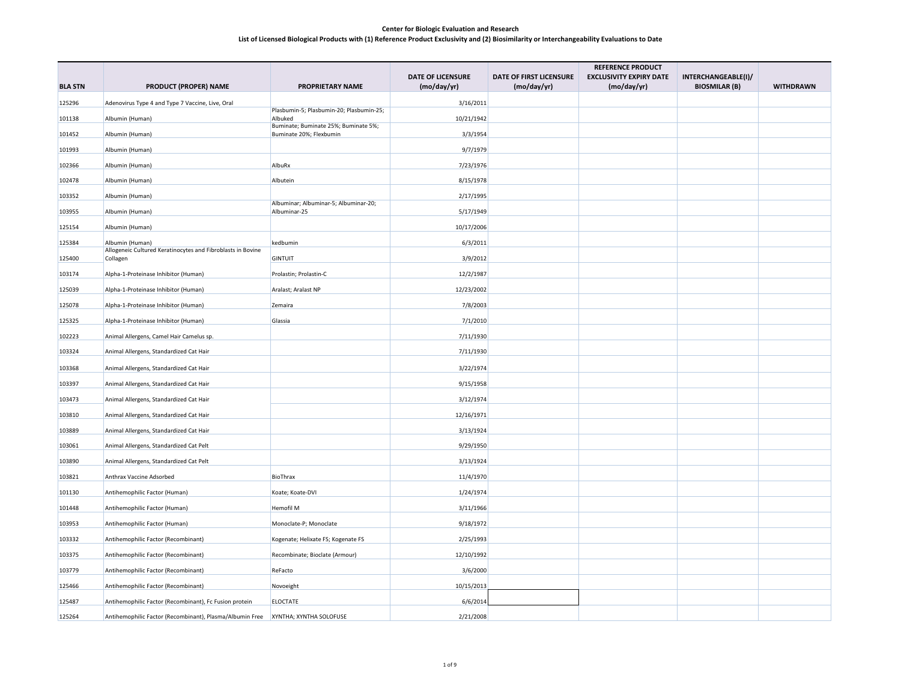|                |                                                                         |                                                                 |                          |                         | <b>REFERENCE PRODUCT</b>       |                      |                  |
|----------------|-------------------------------------------------------------------------|-----------------------------------------------------------------|--------------------------|-------------------------|--------------------------------|----------------------|------------------|
|                |                                                                         |                                                                 | <b>DATE OF LICENSURE</b> | DATE OF FIRST LICENSURE | <b>EXCLUSIVITY EXPIRY DATE</b> | INTERCHANGEABLE(I)/  |                  |
| <b>BLA STN</b> | <b>PRODUCT (PROPER) NAME</b>                                            | PROPRIETARY NAME                                                | (mo/day/yr)              | (mo/day/yr)             | (mo/day/yr)                    | <b>BIOSMILAR (B)</b> | <b>WITHDRAWN</b> |
| 125296         | Adenovirus Type 4 and Type 7 Vaccine, Live, Oral                        | Plasbumin-5; Plasbumin-20; Plasbumin-25;                        | 3/16/2011                |                         |                                |                      |                  |
| 101138         | Albumin (Human)                                                         | Albuked                                                         | 10/21/1942               |                         |                                |                      |                  |
| 101452         | Albumin (Human)                                                         | Buminate; Buminate 25%; Buminate 5%;<br>Buminate 20%; Flexbumin | 3/3/1954                 |                         |                                |                      |                  |
| 101993         | Albumin (Human)                                                         |                                                                 | 9/7/1979                 |                         |                                |                      |                  |
| 102366         | Albumin (Human)                                                         | AlbuRx                                                          | 7/23/1976                |                         |                                |                      |                  |
| 102478         | Albumin (Human)                                                         | Albutein                                                        | 8/15/1978                |                         |                                |                      |                  |
| 103352         | Albumin (Human)                                                         |                                                                 | 2/17/1995                |                         |                                |                      |                  |
| 103955         | Albumin (Human)                                                         | Albuminar; Albuminar-5; Albuminar-20;<br>Albuminar-25           | 5/17/1949                |                         |                                |                      |                  |
| 125154         | Albumin (Human)                                                         |                                                                 | 10/17/2006               |                         |                                |                      |                  |
| 125384         | Albumin (Human)                                                         | kedbumin                                                        | 6/3/2011                 |                         |                                |                      |                  |
| 125400         | Allogeneic Cultured Keratinocytes and Fibroblasts in Bovine<br>Collagen | <b>GINTUIT</b>                                                  | 3/9/2012                 |                         |                                |                      |                  |
| 103174         |                                                                         |                                                                 | 12/2/1987                |                         |                                |                      |                  |
|                | Alpha-1-Proteinase Inhibitor (Human)                                    | Prolastin; Prolastin-C                                          |                          |                         |                                |                      |                  |
| 125039         | Alpha-1-Proteinase Inhibitor (Human)                                    | Aralast; Aralast NP                                             | 12/23/2002               |                         |                                |                      |                  |
| 125078         | Alpha-1-Proteinase Inhibitor (Human)                                    | Zemaira                                                         | 7/8/2003                 |                         |                                |                      |                  |
| 125325         | Alpha-1-Proteinase Inhibitor (Human)                                    | Glassia                                                         | 7/1/2010                 |                         |                                |                      |                  |
| 102223         | Animal Allergens, Camel Hair Camelus sp.                                |                                                                 | 7/11/1930                |                         |                                |                      |                  |
| 103324         | Animal Allergens, Standardized Cat Hair                                 |                                                                 | 7/11/1930                |                         |                                |                      |                  |
| 103368         | Animal Allergens, Standardized Cat Hair                                 |                                                                 | 3/22/1974                |                         |                                |                      |                  |
| 103397         | Animal Allergens, Standardized Cat Hair                                 |                                                                 | 9/15/1958                |                         |                                |                      |                  |
| 103473         | Animal Allergens, Standardized Cat Hair                                 |                                                                 | 3/12/1974                |                         |                                |                      |                  |
| 103810         | Animal Allergens, Standardized Cat Hair                                 |                                                                 | 12/16/1971               |                         |                                |                      |                  |
| 103889         | Animal Allergens, Standardized Cat Hair                                 |                                                                 | 3/13/1924                |                         |                                |                      |                  |
| 103061         | Animal Allergens, Standardized Cat Pelt                                 |                                                                 | 9/29/1950                |                         |                                |                      |                  |
| 103890         | Animal Allergens, Standardized Cat Pelt                                 |                                                                 | 3/13/1924                |                         |                                |                      |                  |
| 103821         | Anthrax Vaccine Adsorbed                                                | BioThrax                                                        | 11/4/1970                |                         |                                |                      |                  |
| 101130         | Antihemophilic Factor (Human)                                           | Koate; Koate-DVI                                                | 1/24/1974                |                         |                                |                      |                  |
| 101448         | Antihemophilic Factor (Human)                                           | Hemofil M                                                       | 3/11/1966                |                         |                                |                      |                  |
| 103953         | Antihemophilic Factor (Human)                                           | Monoclate-P; Monoclate                                          | 9/18/1972                |                         |                                |                      |                  |
| 103332         | Antihemophilic Factor (Recombinant)                                     | Kogenate; Helixate FS; Kogenate FS                              | 2/25/1993                |                         |                                |                      |                  |
| 103375         | Antihemophilic Factor (Recombinant)                                     | Recombinate; Bioclate (Armour)                                  | 12/10/1992               |                         |                                |                      |                  |
| 103779         | Antihemophilic Factor (Recombinant)                                     | ReFacto                                                         | 3/6/2000                 |                         |                                |                      |                  |
| 125466         | Antihemophilic Factor (Recombinant)                                     | Novoeight                                                       | 10/15/2013               |                         |                                |                      |                  |
| 125487         | Antihemophilic Factor (Recombinant), Fc Fusion protein                  | <b>ELOCTATE</b>                                                 | 6/6/2014                 |                         |                                |                      |                  |
| 125264         | Antihemophilic Factor (Recombinant), Plasma/Albumin Free                | XYNTHA; XYNTHA SOLOFUSE                                         | 2/21/2008                |                         |                                |                      |                  |
|                |                                                                         |                                                                 |                          |                         |                                |                      |                  |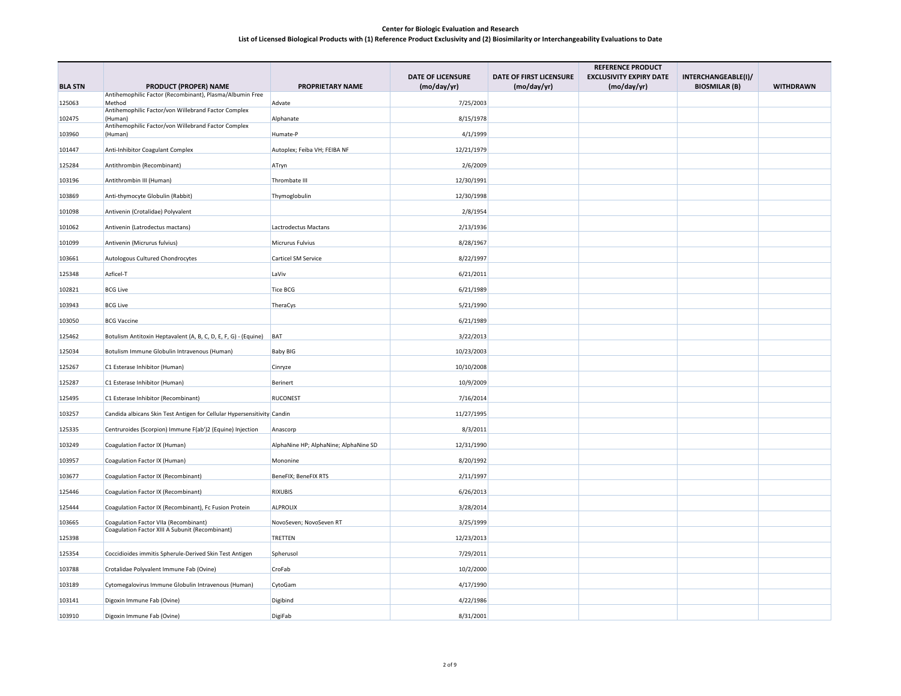|                |                                                                                          |                                       |                          | <b>REFERENCE PRODUCT</b> |                                |                      |                  |  |
|----------------|------------------------------------------------------------------------------------------|---------------------------------------|--------------------------|--------------------------|--------------------------------|----------------------|------------------|--|
|                |                                                                                          |                                       | <b>DATE OF LICENSURE</b> | DATE OF FIRST LICENSURE  | <b>EXCLUSIVITY EXPIRY DATE</b> | INTERCHANGEABLE(I)/  |                  |  |
| <b>BLA STN</b> | <b>PRODUCT (PROPER) NAME</b><br>Antihemophilic Factor (Recombinant), Plasma/Albumin Free | <b>PROPRIETARY NAME</b>               | (mo/day/yr)              | (mo/day/yr)              | (mo/day/yr)                    | <b>BIOSMILAR (B)</b> | <b>WITHDRAWN</b> |  |
| 125063         | Method                                                                                   | Advate                                | 7/25/2003                |                          |                                |                      |                  |  |
| 102475         | Antihemophilic Factor/von Willebrand Factor Complex<br>(Human)                           | Alphanate                             | 8/15/1978                |                          |                                |                      |                  |  |
| 103960         | Antihemophilic Factor/von Willebrand Factor Complex<br>(Human)                           | Humate-P                              | 4/1/1999                 |                          |                                |                      |                  |  |
|                |                                                                                          |                                       | 12/21/1979               |                          |                                |                      |                  |  |
| 101447         | Anti-Inhibitor Coagulant Complex                                                         | Autoplex; Feiba VH; FEIBA NF          |                          |                          |                                |                      |                  |  |
| 125284         | Antithrombin (Recombinant)                                                               | ATryn                                 | 2/6/2009                 |                          |                                |                      |                  |  |
| 103196         | Antithrombin III (Human)                                                                 | Thrombate III                         | 12/30/1991               |                          |                                |                      |                  |  |
| 103869         | Anti-thymocyte Globulin (Rabbit)                                                         | Thymoglobulin                         | 12/30/1998               |                          |                                |                      |                  |  |
| 101098         | Antivenin (Crotalidae) Polyvalent                                                        |                                       | 2/8/1954                 |                          |                                |                      |                  |  |
| 101062         | Antivenin (Latrodectus mactans)                                                          | Lactrodectus Mactans                  | 2/13/1936                |                          |                                |                      |                  |  |
| 101099         | Antivenin (Micrurus fulvius)                                                             | Micrurus Fulvius                      | 8/28/1967                |                          |                                |                      |                  |  |
| 103661         | Autologous Cultured Chondrocytes                                                         | Carticel SM Service                   | 8/22/1997                |                          |                                |                      |                  |  |
| 125348         | Azficel-T                                                                                | LaViv                                 | 6/21/2011                |                          |                                |                      |                  |  |
| 102821         | <b>BCG Live</b>                                                                          | <b>Tice BCG</b>                       | 6/21/1989                |                          |                                |                      |                  |  |
| 103943         | <b>BCG Live</b>                                                                          | TheraCys                              | 5/21/1990                |                          |                                |                      |                  |  |
| 103050         | <b>BCG Vaccine</b>                                                                       |                                       | 6/21/1989                |                          |                                |                      |                  |  |
| 125462         | Botulism Antitoxin Heptavalent (A, B, C, D, E, F, G) - (Equine)                          | BAT                                   | 3/22/2013                |                          |                                |                      |                  |  |
| 125034         | Botulism Immune Globulin Intravenous (Human)                                             | <b>Baby BIG</b>                       | 10/23/2003               |                          |                                |                      |                  |  |
| 125267         | C1 Esterase Inhibitor (Human)                                                            | Cinryze                               | 10/10/2008               |                          |                                |                      |                  |  |
| 125287         | C1 Esterase Inhibitor (Human)                                                            | Berinert                              | 10/9/2009                |                          |                                |                      |                  |  |
| 125495         | C1 Esterase Inhibitor (Recombinant)                                                      | <b>RUCONEST</b>                       | 7/16/2014                |                          |                                |                      |                  |  |
| 103257         | Candida albicans Skin Test Antigen for Cellular Hypersensitivity Candin                  |                                       | 11/27/1995               |                          |                                |                      |                  |  |
| 125335         | Centruroides (Scorpion) Immune F(ab')2 (Equine) Injection                                | Anascorp                              | 8/3/2011                 |                          |                                |                      |                  |  |
| 103249         | Coagulation Factor IX (Human)                                                            | AlphaNine HP; AlphaNine; AlphaNine SD | 12/31/1990               |                          |                                |                      |                  |  |
| 103957         | Coagulation Factor IX (Human)                                                            | Mononine                              | 8/20/1992                |                          |                                |                      |                  |  |
|                |                                                                                          |                                       |                          |                          |                                |                      |                  |  |
| 103677         | Coagulation Factor IX (Recombinant)                                                      | BeneFIX; BeneFIX RTS                  | 2/11/1997                |                          |                                |                      |                  |  |
| 125446         | Coagulation Factor IX (Recombinant)                                                      | <b>RIXUBIS</b>                        | 6/26/2013                |                          |                                |                      |                  |  |
| 125444         | Coagulation Factor IX (Recombinant), Fc Fusion Protein                                   | <b>ALPROLIX</b>                       | 3/28/2014                |                          |                                |                      |                  |  |
| 103665         | Coagulation Factor VIIa (Recombinant)<br>Coagulation Factor XIII A Subunit (Recombinant) | NovoSeven; NovoSeven RT               | 3/25/1999                |                          |                                |                      |                  |  |
| 125398         |                                                                                          | <b>TRETTEN</b>                        | 12/23/2013               |                          |                                |                      |                  |  |
| 125354         | Coccidioides immitis Spherule-Derived Skin Test Antigen                                  | Spherusol                             | 7/29/2011                |                          |                                |                      |                  |  |
| 103788         | Crotalidae Polyvalent Immune Fab (Ovine)                                                 | CroFab                                | 10/2/2000                |                          |                                |                      |                  |  |
| 103189         | Cytomegalovirus Immune Globulin Intravenous (Human)                                      | CytoGam                               | 4/17/1990                |                          |                                |                      |                  |  |
| 103141         | Digoxin Immune Fab (Ovine)                                                               | Digibind                              | 4/22/1986                |                          |                                |                      |                  |  |
| 103910         | Digoxin Immune Fab (Ovine)                                                               | DigiFab                               | 8/31/2001                |                          |                                |                      |                  |  |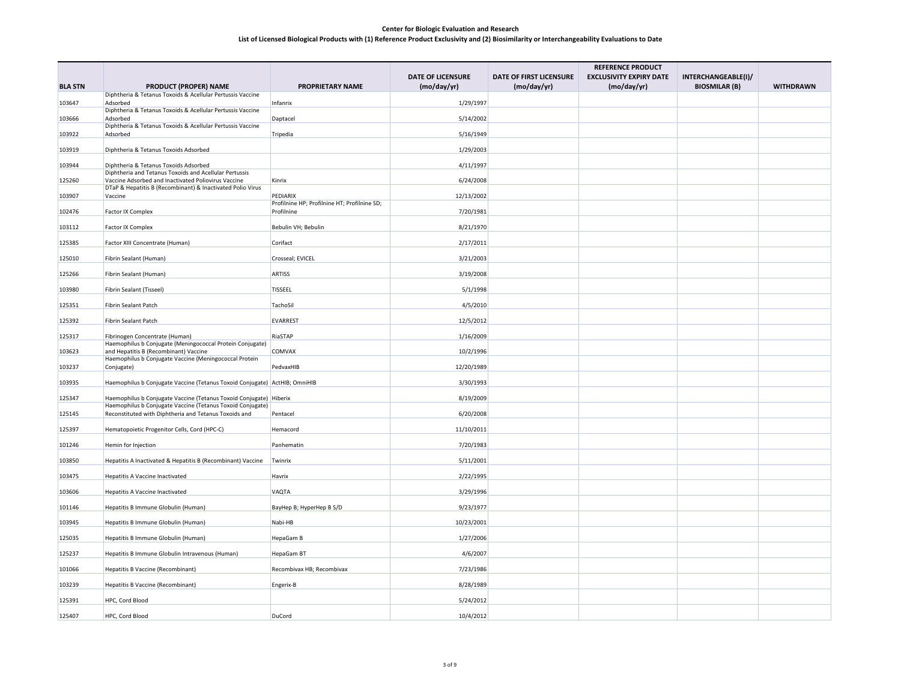|                |                                                                                                                     |                                                            |                          | <b>REFERENCE PRODUCT</b> |                                |                      |                  |  |
|----------------|---------------------------------------------------------------------------------------------------------------------|------------------------------------------------------------|--------------------------|--------------------------|--------------------------------|----------------------|------------------|--|
|                |                                                                                                                     |                                                            | <b>DATE OF LICENSURE</b> | DATE OF FIRST LICENSURE  | <b>EXCLUSIVITY EXPIRY DATE</b> | INTERCHANGEABLE(I)/  |                  |  |
| <b>BLA STN</b> | <b>PRODUCT (PROPER) NAME</b><br>Diphtheria & Tetanus Toxoids & Acellular Pertussis Vaccine                          | <b>PROPRIETARY NAME</b>                                    | (mo/day/yr)              | (mo/day/yr)              | (mo/day/yr)                    | <b>BIOSMILAR (B)</b> | <b>WITHDRAWN</b> |  |
| 103647         | Adsorbed                                                                                                            | Infanrix                                                   | 1/29/1997                |                          |                                |                      |                  |  |
|                | Diphtheria & Tetanus Toxoids & Acellular Pertussis Vaccine                                                          |                                                            |                          |                          |                                |                      |                  |  |
| 103666         | Adsorbed<br>Diphtheria & Tetanus Toxoids & Acellular Pertussis Vaccine                                              | Daptacel                                                   | 5/14/2002                |                          |                                |                      |                  |  |
| 103922         | Adsorbed                                                                                                            | Tripedia                                                   | 5/16/1949                |                          |                                |                      |                  |  |
| 103919         | Diphtheria & Tetanus Toxoids Adsorbed                                                                               |                                                            | 1/29/2003                |                          |                                |                      |                  |  |
| 103944         | Diphtheria & Tetanus Toxoids Adsorbed                                                                               |                                                            | 4/11/1997                |                          |                                |                      |                  |  |
| 125260         | Diphtheria and Tetanus Toxoids and Acellular Pertussis<br>Vaccine Adsorbed and Inactivated Poliovirus Vaccine       | Kinrix                                                     | 6/24/2008                |                          |                                |                      |                  |  |
|                | DTaP & Hepatitis B (Recombinant) & Inactivated Polio Virus                                                          |                                                            |                          |                          |                                |                      |                  |  |
| 103907         | Vaccine                                                                                                             | PEDIARIX                                                   | 12/13/2002               |                          |                                |                      |                  |  |
| 102476         | <b>Factor IX Complex</b>                                                                                            | Profilnine HP; Profilnine HT; Profilnine SD;<br>Profilnine | 7/20/1981                |                          |                                |                      |                  |  |
|                |                                                                                                                     |                                                            |                          |                          |                                |                      |                  |  |
| 103112         | Factor IX Complex                                                                                                   | Bebulin VH; Bebulin                                        | 8/21/1970                |                          |                                |                      |                  |  |
| 125385         | Factor XIII Concentrate (Human)                                                                                     | Corifact                                                   | 2/17/2011                |                          |                                |                      |                  |  |
| 125010         | Fibrin Sealant (Human)                                                                                              | Crosseal; EVICEL                                           | 3/21/2003                |                          |                                |                      |                  |  |
| 125266         | Fibrin Sealant (Human)                                                                                              | <b>ARTISS</b>                                              | 3/19/2008                |                          |                                |                      |                  |  |
| 103980         | Fibrin Sealant (Tisseel)                                                                                            | <b>TISSEEL</b>                                             | 5/1/1998                 |                          |                                |                      |                  |  |
| 125351         | Fibrin Sealant Patch                                                                                                | TachoSil                                                   | 4/5/2010                 |                          |                                |                      |                  |  |
| 125392         | Fibrin Sealant Patch                                                                                                | EVARREST                                                   | 12/5/2012                |                          |                                |                      |                  |  |
| 125317         | Fibrinogen Concentrate (Human)                                                                                      | RiaSTAP                                                    | 1/16/2009                |                          |                                |                      |                  |  |
| 103623         | Haemophilus b Conjugate (Meningococcal Protein Conjugate)<br>and Hepatitis B (Recombinant) Vaccine                  | <b>COMVAX</b>                                              | 10/2/1996                |                          |                                |                      |                  |  |
|                | Haemophilus b Conjugate Vaccine (Meningococcal Protein                                                              |                                                            |                          |                          |                                |                      |                  |  |
| 103237         | Conjugate)                                                                                                          | PedvaxHIB                                                  | 12/20/1989               |                          |                                |                      |                  |  |
| 103935         | Haemophilus b Conjugate Vaccine (Tetanus Toxoid Conjugate) ActHIB; OmniHIB                                          |                                                            | 3/30/1993                |                          |                                |                      |                  |  |
| 125347         | Haemophilus b Conjugate Vaccine (Tetanus Toxoid Conjugate) Hiberix                                                  |                                                            | 8/19/2009                |                          |                                |                      |                  |  |
| 125145         | Haemophilus b Conjugate Vaccine (Tetanus Toxoid Conjugate)<br>Reconstituted with Diphtheria and Tetanus Toxoids and | Pentacel                                                   | 6/20/2008                |                          |                                |                      |                  |  |
|                |                                                                                                                     |                                                            |                          |                          |                                |                      |                  |  |
| 125397         | Hematopoietic Progenitor Cells, Cord (HPC-C)                                                                        | Hemacord                                                   | 11/10/2011               |                          |                                |                      |                  |  |
| 101246         | Hemin for Injection                                                                                                 | Panhematin                                                 | 7/20/1983                |                          |                                |                      |                  |  |
| 103850         | Hepatitis A Inactivated & Hepatitis B (Recombinant) Vaccine                                                         | Twinrix                                                    | 5/11/2001                |                          |                                |                      |                  |  |
| 103475         | <b>Hepatitis A Vaccine Inactivated</b>                                                                              | Havrix                                                     | 2/22/1995                |                          |                                |                      |                  |  |
| 103606         | <b>Hepatitis A Vaccine Inactivated</b>                                                                              | VAQTA                                                      | 3/29/1996                |                          |                                |                      |                  |  |
| 101146         | Hepatitis B Immune Globulin (Human)                                                                                 | BayHep B; HyperHep B S/D                                   | 9/23/1977                |                          |                                |                      |                  |  |
| 103945         | Hepatitis B Immune Globulin (Human)                                                                                 | Nabi-HB                                                    | 10/23/2001               |                          |                                |                      |                  |  |
| 125035         | Hepatitis B Immune Globulin (Human)                                                                                 | HepaGam B                                                  | 1/27/2006                |                          |                                |                      |                  |  |
| 125237         | Hepatitis B Immune Globulin Intravenous (Human)                                                                     | HepaGam BT                                                 | 4/6/2007                 |                          |                                |                      |                  |  |
| 101066         | <b>Hepatitis B Vaccine (Recombinant)</b>                                                                            | Recombivax HB; Recombivax                                  | 7/23/1986                |                          |                                |                      |                  |  |
| 103239         | Hepatitis B Vaccine (Recombinant)                                                                                   | Engerix-B                                                  | 8/28/1989                |                          |                                |                      |                  |  |
| 125391         | HPC, Cord Blood                                                                                                     |                                                            | 5/24/2012                |                          |                                |                      |                  |  |
| 125407         | HPC, Cord Blood                                                                                                     | <b>DuCord</b>                                              | 10/4/2012                |                          |                                |                      |                  |  |
|                |                                                                                                                     |                                                            |                          |                          |                                |                      |                  |  |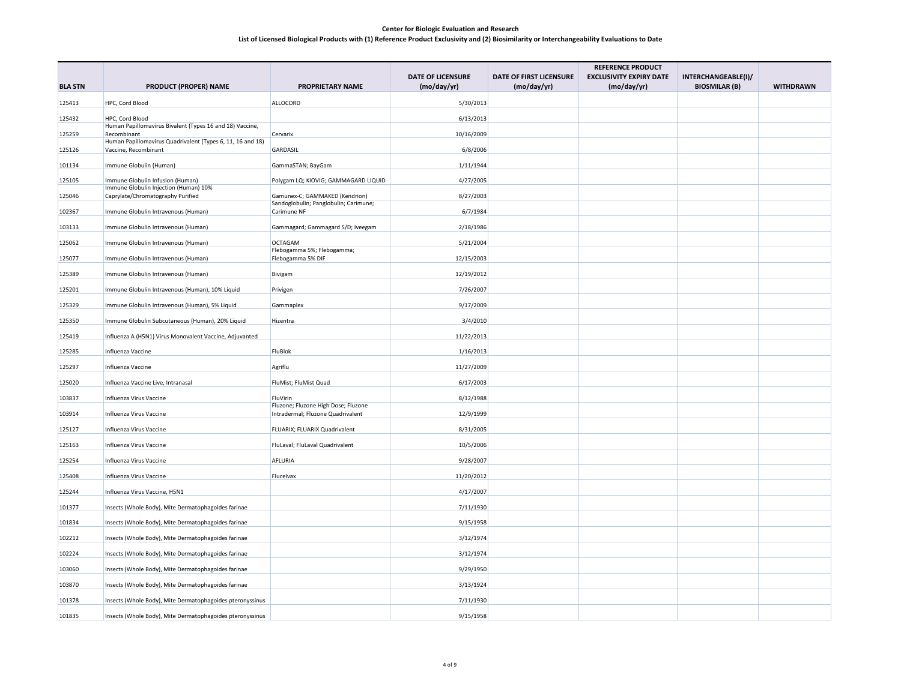|                | <b>REFERENCE PRODUCT</b>                                                           |                                                                          |                                         |                                        |                                               |                                             |                  |
|----------------|------------------------------------------------------------------------------------|--------------------------------------------------------------------------|-----------------------------------------|----------------------------------------|-----------------------------------------------|---------------------------------------------|------------------|
| <b>BLA STN</b> | <b>PRODUCT (PROPER) NAME</b>                                                       | <b>PROPRIETARY NAME</b>                                                  | <b>DATE OF LICENSURE</b><br>(mo/day/yr) | DATE OF FIRST LICENSURE<br>(mo/day/yr) | <b>EXCLUSIVITY EXPIRY DATE</b><br>(mo/day/yr) | INTERCHANGEABLE(I)/<br><b>BIOSMILAR (B)</b> | <b>WITHDRAWN</b> |
| 125413         | HPC, Cord Blood                                                                    | ALLOCORD                                                                 | 5/30/2013                               |                                        |                                               |                                             |                  |
|                |                                                                                    |                                                                          |                                         |                                        |                                               |                                             |                  |
| 125432         | HPC, Cord Blood<br>Human Papillomavirus Bivalent (Types 16 and 18) Vaccine,        |                                                                          | 6/13/2013                               |                                        |                                               |                                             |                  |
| 125259         | Recombinant                                                                        | Cervarix                                                                 | 10/16/2009                              |                                        |                                               |                                             |                  |
| 125126         | Human Papillomavirus Quadrivalent (Types 6, 11, 16 and 18)<br>Vaccine, Recombinant | GARDASIL                                                                 | 6/8/2006                                |                                        |                                               |                                             |                  |
| 101134         | Immune Globulin (Human)                                                            | GammaSTAN; BayGam                                                        | 1/11/1944                               |                                        |                                               |                                             |                  |
| 125105         | Immune Globulin Infusion (Human)                                                   | Polygam LQ; KIOVIG; GAMMAGARD LIQUID                                     | 4/27/2005                               |                                        |                                               |                                             |                  |
| 125046         | Immune Globulin Injection (Human) 10%<br>Caprylate/Chromatography Purified         | Gamunex-C; GAMMAKED (Kendrion)                                           | 8/27/2003                               |                                        |                                               |                                             |                  |
| 102367         | Immune Globulin Intravenous (Human)                                                | Sandoglobulin; Panglobulin; Carimune;<br>Carimune NF                     | 6/7/1984                                |                                        |                                               |                                             |                  |
| 103133         | Immune Globulin Intravenous (Human)                                                | Gammagard; Gammagard S/D; Iveegam                                        | 2/18/1986                               |                                        |                                               |                                             |                  |
| 125062         | Immune Globulin Intravenous (Human)                                                | <b>OCTAGAM</b>                                                           | 5/21/2004                               |                                        |                                               |                                             |                  |
| 125077         | Immune Globulin Intravenous (Human)                                                | Flebogamma 5%; Flebogamma;<br>Flebogamma 5% DIF                          | 12/15/2003                              |                                        |                                               |                                             |                  |
| 125389         | Immune Globulin Intravenous (Human)                                                | Bivigam                                                                  | 12/19/2012                              |                                        |                                               |                                             |                  |
| 125201         | Immune Globulin Intravenous (Human), 10% Liquid                                    | Privigen                                                                 | 7/26/2007                               |                                        |                                               |                                             |                  |
| 125329         | Immune Globulin Intravenous (Human), 5% Liquid                                     | Gammaplex                                                                | 9/17/2009                               |                                        |                                               |                                             |                  |
| 125350         | Immune Globulin Subcutaneous (Human), 20% Liquid                                   | Hizentra                                                                 | 3/4/2010                                |                                        |                                               |                                             |                  |
| 125419         | Influenza A (H5N1) Virus Monovalent Vaccine, Adjuvanted                            |                                                                          | 11/22/2013                              |                                        |                                               |                                             |                  |
| 125285         | Influenza Vaccine                                                                  | FluBlok                                                                  | 1/16/2013                               |                                        |                                               |                                             |                  |
| 125297         | Influenza Vaccine                                                                  | Agriflu                                                                  | 11/27/2009                              |                                        |                                               |                                             |                  |
| 125020         | Influenza Vaccine Live, Intranasal                                                 | FluMist; FluMist Quad                                                    | 6/17/2003                               |                                        |                                               |                                             |                  |
| 103837         | Influenza Virus Vaccine                                                            | FluVirin                                                                 | 8/12/1988                               |                                        |                                               |                                             |                  |
| 103914         | Influenza Virus Vaccine                                                            | Fluzone; Fluzone High Dose; Fluzone<br>Intradermal; Fluzone Quadrivalent | 12/9/1999                               |                                        |                                               |                                             |                  |
| 125127         | Influenza Virus Vaccine                                                            | FLUARIX; FLUARIX Quadrivalent                                            | 8/31/2005                               |                                        |                                               |                                             |                  |
| 125163         | Influenza Virus Vaccine                                                            | FluLaval; FluLaval Quadrivalent                                          | 10/5/2006                               |                                        |                                               |                                             |                  |
| 125254         | Influenza Virus Vaccine                                                            | AFLURIA                                                                  | 9/28/2007                               |                                        |                                               |                                             |                  |
| 125408         | Influenza Virus Vaccine                                                            | Flucelvax                                                                | 11/20/2012                              |                                        |                                               |                                             |                  |
| 125244         | Influenza Virus Vaccine, H5N1                                                      |                                                                          | 4/17/2007                               |                                        |                                               |                                             |                  |
| 101377         | Insects (Whole Body), Mite Dermatophagoides farinae                                |                                                                          | 7/11/1930                               |                                        |                                               |                                             |                  |
| 101834         | Insects (Whole Body), Mite Dermatophagoides farinae                                |                                                                          | 9/15/1958                               |                                        |                                               |                                             |                  |
| 102212         | Insects (Whole Body), Mite Dermatophagoides farinae                                |                                                                          | 3/12/1974                               |                                        |                                               |                                             |                  |
| 102224         | Insects (Whole Body), Mite Dermatophagoides farinae                                |                                                                          | 3/12/1974                               |                                        |                                               |                                             |                  |
| 103060         | Insects (Whole Body), Mite Dermatophagoides farinae                                |                                                                          | 9/29/1950                               |                                        |                                               |                                             |                  |
| 103870         | Insects (Whole Body), Mite Dermatophagoides farinae                                |                                                                          | 3/13/1924                               |                                        |                                               |                                             |                  |
| 101378         | Insects (Whole Body), Mite Dermatophagoides pteronyssinus                          |                                                                          | 7/11/1930                               |                                        |                                               |                                             |                  |
| 101835         | Insects (Whole Body), Mite Dermatophagoides pteronyssinus                          |                                                                          | 9/15/1958                               |                                        |                                               |                                             |                  |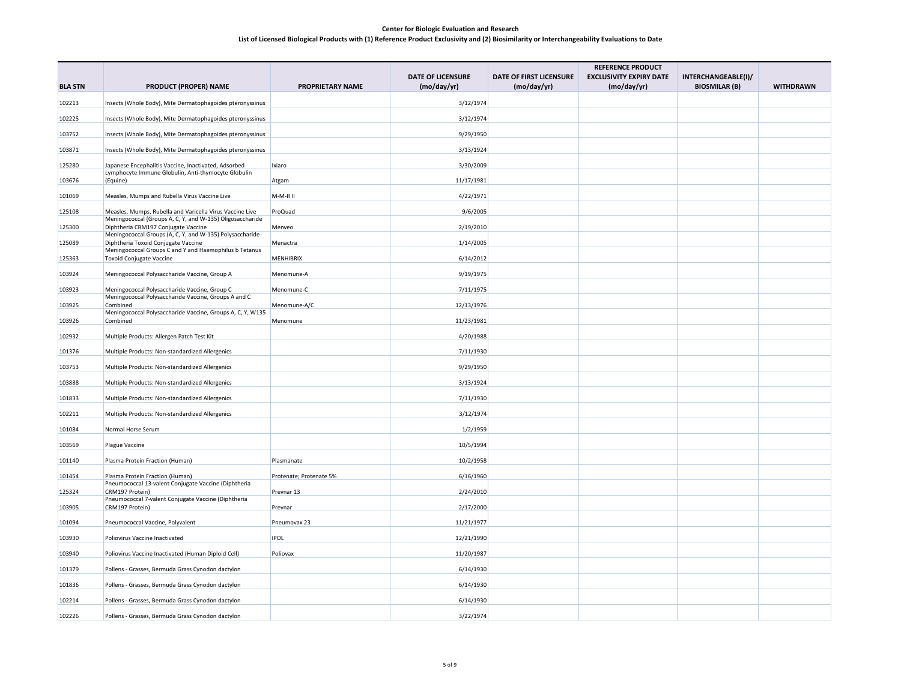|                |                                                                                                 |                         |                               |                                        | <b>REFERENCE PRODUCT</b>                      |                                             |                  |
|----------------|-------------------------------------------------------------------------------------------------|-------------------------|-------------------------------|----------------------------------------|-----------------------------------------------|---------------------------------------------|------------------|
| <b>BLA STN</b> | <b>PRODUCT (PROPER) NAME</b>                                                                    | <b>PROPRIETARY NAME</b> | DATE OF LICENSURE<br>(mod/yr) | DATE OF FIRST LICENSURE<br>(mo/day/yr) | <b>EXCLUSIVITY EXPIRY DATE</b><br>(mo/day/yr) | INTERCHANGEABLE(I)/<br><b>BIOSMILAR (B)</b> | <b>WITHDRAWN</b> |
| 102213         | Insects (Whole Body), Mite Dermatophagoides pteronyssinus                                       |                         | 3/12/1974                     |                                        |                                               |                                             |                  |
| 102225         | Insects (Whole Body), Mite Dermatophagoides pteronyssinus                                       |                         | 3/12/1974                     |                                        |                                               |                                             |                  |
| 103752         | Insects (Whole Body), Mite Dermatophagoides pteronyssinus                                       |                         | 9/29/1950                     |                                        |                                               |                                             |                  |
| 103871         | Insects (Whole Body), Mite Dermatophagoides pteronyssinus                                       |                         | 3/13/1924                     |                                        |                                               |                                             |                  |
| 125280         | Japanese Encephalitis Vaccine, Inactivated, Adsorbed                                            | Ixiaro                  | 3/30/2009                     |                                        |                                               |                                             |                  |
| 103676         | Lymphocyte Immune Globulin, Anti-thymocyte Globulin<br>(Equine)                                 | Atgam                   | 11/17/1981                    |                                        |                                               |                                             |                  |
| 101069         | Measles, Mumps and Rubella Virus Vaccine Live                                                   | M-M-R II                | 4/22/1971                     |                                        |                                               |                                             |                  |
| 125108         | Measles, Mumps, Rubella and Varicella Virus Vaccine Live                                        | ProQuad                 | 9/6/2005                      |                                        |                                               |                                             |                  |
|                | Meningococcal (Groups A, C, Y, and W-135) Oligosaccharide                                       |                         |                               |                                        |                                               |                                             |                  |
| 125300         | Diphtheria CRM197 Conjugate Vaccine<br>Meningococcal Groups (A, C, Y, and W-135) Polysaccharide | Menveo                  | 2/19/2010                     |                                        |                                               |                                             |                  |
| 125089         | Diphtheria Toxoid Conjugate Vaccine<br>Meningococcal Groups C and Y and Haemophilus b Tetanus   | Menactra                | 1/14/2005                     |                                        |                                               |                                             |                  |
| 125363         | Toxoid Conjugate Vaccine                                                                        | MENHIBRIX               | 6/14/2012                     |                                        |                                               |                                             |                  |
| 103924         | Meningococcal Polysaccharide Vaccine, Group A                                                   | Menomune-A              | 9/19/1975                     |                                        |                                               |                                             |                  |
| 103923         | Meningococcal Polysaccharide Vaccine, Group C                                                   | Menomune-C              | 7/11/1975                     |                                        |                                               |                                             |                  |
| 103925         | Meningococcal Polysaccharide Vaccine, Groups A and C<br>Combined                                | Menomune-A/C            | 12/13/1976                    |                                        |                                               |                                             |                  |
| 103926         | Meningococcal Polysaccharide Vaccine, Groups A, C, Y, W135<br>Combined                          | Menomune                | 11/23/1981                    |                                        |                                               |                                             |                  |
| 102932         | Multiple Products: Allergen Patch Test Kit                                                      |                         | 4/20/1988                     |                                        |                                               |                                             |                  |
| 101376         | Multiple Products: Non-standardized Allergenics                                                 |                         | 7/11/1930                     |                                        |                                               |                                             |                  |
| 103753         | Multiple Products: Non-standardized Allergenics                                                 |                         | 9/29/1950                     |                                        |                                               |                                             |                  |
| 103888         | Multiple Products: Non-standardized Allergenics                                                 |                         | 3/13/1924                     |                                        |                                               |                                             |                  |
| 101833         | Multiple Products: Non-standardized Allergenics                                                 |                         | 7/11/1930                     |                                        |                                               |                                             |                  |
| 102211         | Multiple Products: Non-standardized Allergenics                                                 |                         | 3/12/1974                     |                                        |                                               |                                             |                  |
| 101084         | Normal Horse Serum                                                                              |                         | 1/2/1959                      |                                        |                                               |                                             |                  |
| 103569         | Plague Vaccine                                                                                  |                         | 10/5/1994                     |                                        |                                               |                                             |                  |
| 101140         | Plasma Protein Fraction (Human)                                                                 | Plasmanate              | 10/2/1958                     |                                        |                                               |                                             |                  |
| 101454         | Plasma Protein Fraction (Human)<br>Pneumococcal 13-valent Conjugate Vaccine (Diphtheria         | Protenate; Protenate 5% | 6/16/1960                     |                                        |                                               |                                             |                  |
| 125324         | CRM197 Protein)<br>Pneumococcal 7-valent Conjugate Vaccine (Diphtheria                          | Prevnar 13              | 2/24/2010                     |                                        |                                               |                                             |                  |
| 103905         | CRM197 Protein)                                                                                 | Prevnar                 | 2/17/2000                     |                                        |                                               |                                             |                  |
| 101094         | Pneumococcal Vaccine, Polyvalent                                                                | Pneumovax 23            | 11/21/1977                    |                                        |                                               |                                             |                  |
| 103930         | Poliovirus Vaccine Inactivated                                                                  | <b>IPOL</b>             | 12/21/1990                    |                                        |                                               |                                             |                  |
| 103940         | Poliovirus Vaccine Inactivated (Human Diploid Cell)                                             | Poliovax                | 11/20/1987                    |                                        |                                               |                                             |                  |
| 101379         | Pollens - Grasses, Bermuda Grass Cynodon dactylon                                               |                         | 6/14/1930                     |                                        |                                               |                                             |                  |
| 101836         | Pollens - Grasses, Bermuda Grass Cynodon dactylon                                               |                         | 6/14/1930                     |                                        |                                               |                                             |                  |
| 102214         | Pollens - Grasses, Bermuda Grass Cynodon dactylon                                               |                         | 6/14/1930                     |                                        |                                               |                                             |                  |
| 102226         | Pollens - Grasses, Bermuda Grass Cynodon dactylon                                               |                         | 3/22/1974                     |                                        |                                               |                                             |                  |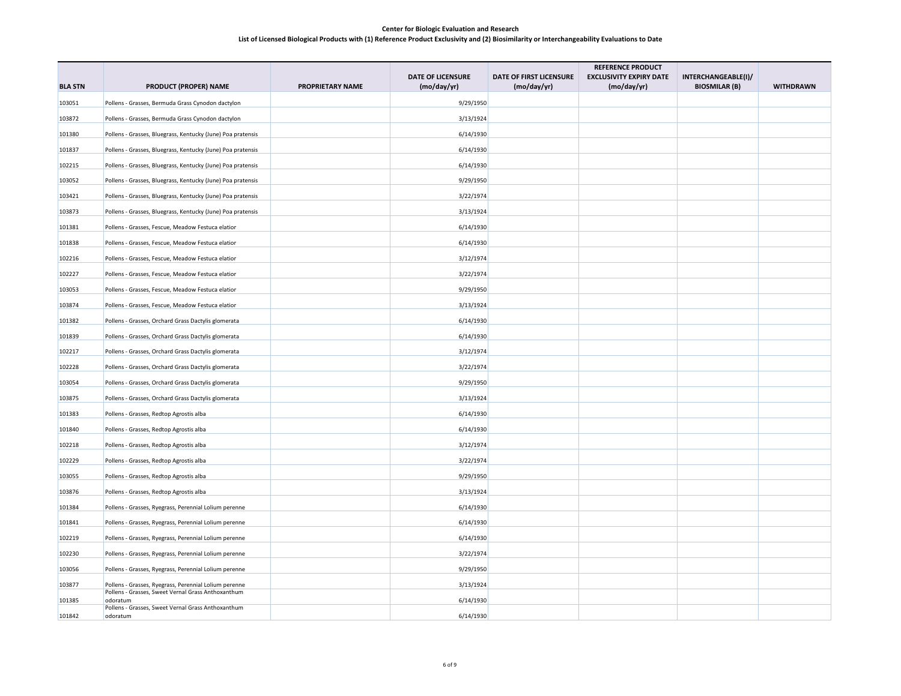|                |                                                                                                             |                         |                                         |                                        | <b>REFERENCE PRODUCT</b>                      |                                             |                  |
|----------------|-------------------------------------------------------------------------------------------------------------|-------------------------|-----------------------------------------|----------------------------------------|-----------------------------------------------|---------------------------------------------|------------------|
| <b>BLA STN</b> | <b>PRODUCT (PROPER) NAME</b>                                                                                | <b>PROPRIETARY NAME</b> | <b>DATE OF LICENSURE</b><br>(mo/day/yr) | DATE OF FIRST LICENSURE<br>(mo/day/yr) | <b>EXCLUSIVITY EXPIRY DATE</b><br>(mo/day/yr) | INTERCHANGEABLE(I)/<br><b>BIOSMILAR (B)</b> | <b>WITHDRAWN</b> |
| 103051         | Pollens - Grasses, Bermuda Grass Cynodon dactylon                                                           |                         | 9/29/1950                               |                                        |                                               |                                             |                  |
| 103872         | Pollens - Grasses, Bermuda Grass Cynodon dactylon                                                           |                         | 3/13/1924                               |                                        |                                               |                                             |                  |
| 101380         | Pollens - Grasses, Bluegrass, Kentucky (June) Poa pratensis                                                 |                         | 6/14/1930                               |                                        |                                               |                                             |                  |
| 101837         | Pollens - Grasses, Bluegrass, Kentucky (June) Poa pratensis                                                 |                         | 6/14/1930                               |                                        |                                               |                                             |                  |
| 102215         | Pollens - Grasses, Bluegrass, Kentucky (June) Poa pratensis                                                 |                         | 6/14/1930                               |                                        |                                               |                                             |                  |
| 103052         |                                                                                                             |                         |                                         |                                        |                                               |                                             |                  |
|                | Pollens - Grasses, Bluegrass, Kentucky (June) Poa pratensis                                                 |                         | 9/29/1950                               |                                        |                                               |                                             |                  |
| 103421         | Pollens - Grasses, Bluegrass, Kentucky (June) Poa pratensis                                                 |                         | 3/22/1974                               |                                        |                                               |                                             |                  |
| 103873         | Pollens - Grasses, Bluegrass, Kentucky (June) Poa pratensis                                                 |                         | 3/13/1924                               |                                        |                                               |                                             |                  |
| 101381         | Pollens - Grasses, Fescue, Meadow Festuca elatior                                                           |                         | 6/14/1930                               |                                        |                                               |                                             |                  |
| 101838         | Pollens - Grasses, Fescue, Meadow Festuca elatior                                                           |                         | 6/14/1930                               |                                        |                                               |                                             |                  |
| 102216         | Pollens - Grasses, Fescue, Meadow Festuca elatior                                                           |                         | 3/12/1974                               |                                        |                                               |                                             |                  |
| 102227         | Pollens - Grasses, Fescue, Meadow Festuca elatior                                                           |                         | 3/22/1974                               |                                        |                                               |                                             |                  |
| 103053         | Pollens - Grasses, Fescue, Meadow Festuca elatior                                                           |                         | 9/29/1950                               |                                        |                                               |                                             |                  |
| 103874         | Pollens - Grasses, Fescue, Meadow Festuca elatior                                                           |                         | 3/13/1924                               |                                        |                                               |                                             |                  |
| 101382         | Pollens - Grasses, Orchard Grass Dactylis glomerata                                                         |                         | 6/14/1930                               |                                        |                                               |                                             |                  |
| 101839         | Pollens - Grasses, Orchard Grass Dactylis glomerata                                                         |                         | 6/14/1930                               |                                        |                                               |                                             |                  |
| 102217         | Pollens - Grasses, Orchard Grass Dactylis glomerata                                                         |                         | 3/12/1974                               |                                        |                                               |                                             |                  |
| 102228         | Pollens - Grasses, Orchard Grass Dactylis glomerata                                                         |                         | 3/22/1974                               |                                        |                                               |                                             |                  |
| 103054         | Pollens - Grasses, Orchard Grass Dactylis glomerata                                                         |                         | 9/29/1950                               |                                        |                                               |                                             |                  |
| 103875         | Pollens - Grasses, Orchard Grass Dactylis glomerata                                                         |                         | 3/13/1924                               |                                        |                                               |                                             |                  |
| 101383         | Pollens - Grasses, Redtop Agrostis alba                                                                     |                         | 6/14/1930                               |                                        |                                               |                                             |                  |
| 101840         | Pollens - Grasses, Redtop Agrostis alba                                                                     |                         | 6/14/1930                               |                                        |                                               |                                             |                  |
| 102218         | Pollens - Grasses, Redtop Agrostis alba                                                                     |                         | 3/12/1974                               |                                        |                                               |                                             |                  |
| 102229         | Pollens - Grasses, Redtop Agrostis alba                                                                     |                         | 3/22/1974                               |                                        |                                               |                                             |                  |
| 103055         | Pollens - Grasses, Redtop Agrostis alba                                                                     |                         | 9/29/1950                               |                                        |                                               |                                             |                  |
| 103876         | Pollens - Grasses, Redtop Agrostis alba                                                                     |                         | 3/13/1924                               |                                        |                                               |                                             |                  |
| 101384         | Pollens - Grasses, Ryegrass, Perennial Lolium perenne                                                       |                         | 6/14/1930                               |                                        |                                               |                                             |                  |
| 101841         | Pollens - Grasses, Ryegrass, Perennial Lolium perenne                                                       |                         | 6/14/1930                               |                                        |                                               |                                             |                  |
| 102219         | Pollens - Grasses, Ryegrass, Perennial Lolium perenne                                                       |                         | 6/14/1930                               |                                        |                                               |                                             |                  |
| 102230         | Pollens - Grasses, Ryegrass, Perennial Lolium perenne                                                       |                         | 3/22/1974                               |                                        |                                               |                                             |                  |
| 103056         | Pollens - Grasses, Ryegrass, Perennial Lolium perenne                                                       |                         | 9/29/1950                               |                                        |                                               |                                             |                  |
|                |                                                                                                             |                         |                                         |                                        |                                               |                                             |                  |
| 103877         | Pollens - Grasses, Ryegrass, Perennial Lolium perenne<br>Pollens - Grasses, Sweet Vernal Grass Anthoxanthum |                         | 3/13/1924                               |                                        |                                               |                                             |                  |
| 101385         | odoratum<br>Pollens - Grasses, Sweet Vernal Grass Anthoxanthum                                              |                         | 6/14/1930                               |                                        |                                               |                                             |                  |
| 101842         | odoratum                                                                                                    |                         | 6/14/1930                               |                                        |                                               |                                             |                  |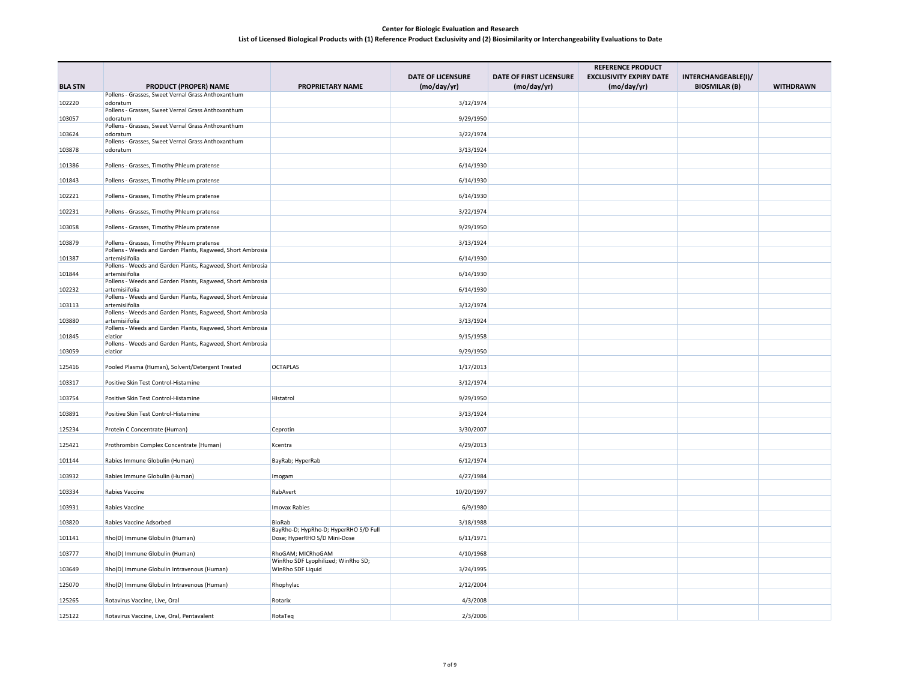|                |                                                                                                          |                                                 |                          |                         | <b>REFERENCE PRODUCT</b>       |                      |                  |
|----------------|----------------------------------------------------------------------------------------------------------|-------------------------------------------------|--------------------------|-------------------------|--------------------------------|----------------------|------------------|
|                |                                                                                                          |                                                 | <b>DATE OF LICENSURE</b> | DATE OF FIRST LICENSURE | <b>EXCLUSIVITY EXPIRY DATE</b> | INTERCHANGEABLE(I)/  |                  |
| <b>BLA STN</b> | <b>PRODUCT (PROPER) NAME</b>                                                                             | <b>PROPRIETARY NAME</b>                         | (mod/yr)                 | (mo/day/yr)             | (mod/yr)                       | <b>BIOSMILAR (B)</b> | <b>WITHDRAWN</b> |
|                | Pollens - Grasses, Sweet Vernal Grass Anthoxanthum                                                       |                                                 |                          |                         |                                |                      |                  |
| 102220         | odoratum<br>Pollens - Grasses, Sweet Vernal Grass Anthoxanthum                                           |                                                 | 3/12/1974                |                         |                                |                      |                  |
| 103057         | odoratum                                                                                                 |                                                 | 9/29/1950                |                         |                                |                      |                  |
| 103624         | Pollens - Grasses, Sweet Vernal Grass Anthoxanthum<br>odoratum                                           |                                                 | 3/22/1974                |                         |                                |                      |                  |
|                | Pollens - Grasses, Sweet Vernal Grass Anthoxanthum                                                       |                                                 |                          |                         |                                |                      |                  |
| 103878         | odoratum                                                                                                 |                                                 | 3/13/1924                |                         |                                |                      |                  |
| 101386         | Pollens - Grasses, Timothy Phleum pratense                                                               |                                                 | 6/14/1930                |                         |                                |                      |                  |
| 101843         | Pollens - Grasses, Timothy Phleum pratense                                                               |                                                 | 6/14/1930                |                         |                                |                      |                  |
|                |                                                                                                          |                                                 |                          |                         |                                |                      |                  |
| 102221         | Pollens - Grasses, Timothy Phleum pratense                                                               |                                                 | 6/14/1930                |                         |                                |                      |                  |
| 102231         | Pollens - Grasses, Timothy Phleum pratense                                                               |                                                 | 3/22/1974                |                         |                                |                      |                  |
| 103058         | Pollens - Grasses, Timothy Phleum pratense                                                               |                                                 | 9/29/1950                |                         |                                |                      |                  |
|                |                                                                                                          |                                                 |                          |                         |                                |                      |                  |
| 103879         | Pollens - Grasses, Timothy Phleum pratense<br>Pollens - Weeds and Garden Plants, Ragweed, Short Ambrosia |                                                 | 3/13/1924                |                         |                                |                      |                  |
| 101387         | artemisiifolia                                                                                           |                                                 | 6/14/1930                |                         |                                |                      |                  |
| 101844         | Pollens - Weeds and Garden Plants, Ragweed, Short Ambrosia<br>artemisiifolia                             |                                                 | 6/14/1930                |                         |                                |                      |                  |
|                | Pollens - Weeds and Garden Plants, Ragweed, Short Ambrosia                                               |                                                 |                          |                         |                                |                      |                  |
| 102232         | artemisiifolia<br>Pollens - Weeds and Garden Plants, Ragweed, Short Ambrosia                             |                                                 | 6/14/1930                |                         |                                |                      |                  |
| 103113         | artemisiifolia                                                                                           |                                                 | 3/12/1974                |                         |                                |                      |                  |
| 103880         | Pollens - Weeds and Garden Plants, Ragweed, Short Ambrosia<br>artemisiifolia                             |                                                 | 3/13/1924                |                         |                                |                      |                  |
|                | Pollens - Weeds and Garden Plants, Ragweed, Short Ambrosia                                               |                                                 |                          |                         |                                |                      |                  |
| 101845         | elation<br>Pollens - Weeds and Garden Plants, Ragweed, Short Ambrosia                                    |                                                 | 9/15/1958                |                         |                                |                      |                  |
| 103059         | elation                                                                                                  |                                                 | 9/29/1950                |                         |                                |                      |                  |
| 125416         | Pooled Plasma (Human), Solvent/Detergent Treated                                                         | <b>OCTAPLAS</b>                                 | 1/17/2013                |                         |                                |                      |                  |
|                |                                                                                                          |                                                 |                          |                         |                                |                      |                  |
| 103317         | Positive Skin Test Control-Histamine                                                                     |                                                 | 3/12/1974                |                         |                                |                      |                  |
| 103754         | Positive Skin Test Control-Histamine                                                                     | Histatrol                                       | 9/29/1950                |                         |                                |                      |                  |
| 103891         | Positive Skin Test Control-Histamine                                                                     |                                                 | 3/13/1924                |                         |                                |                      |                  |
|                |                                                                                                          |                                                 |                          |                         |                                |                      |                  |
| 125234         | Protein C Concentrate (Human)                                                                            | Ceprotin                                        | 3/30/2007                |                         |                                |                      |                  |
| 125421         | Prothrombin Complex Concentrate (Human)                                                                  | Kcentra                                         | 4/29/2013                |                         |                                |                      |                  |
| 101144         | Rabies Immune Globulin (Human)                                                                           | BayRab; HyperRab                                | 6/12/1974                |                         |                                |                      |                  |
|                |                                                                                                          |                                                 |                          |                         |                                |                      |                  |
| 103932         | Rabies Immune Globulin (Human)                                                                           | Imogam                                          | 4/27/1984                |                         |                                |                      |                  |
| 103334         | Rabies Vaccine                                                                                           | RabAvert                                        | 10/20/1997               |                         |                                |                      |                  |
| 103931         | <b>Rabies Vaccine</b>                                                                                    | <b>Imovax Rabies</b>                            | 6/9/1980                 |                         |                                |                      |                  |
|                |                                                                                                          |                                                 |                          |                         |                                |                      |                  |
| 103820         | Rabies Vaccine Adsorbed                                                                                  | BioRab<br>BayRho-D; HypRho-D; HyperRHO S/D Full | 3/18/1988                |                         |                                |                      |                  |
| 101141         | Rho(D) Immune Globulin (Human)                                                                           | Dose; HyperRHO S/D Mini-Dose                    | 6/11/1971                |                         |                                |                      |                  |
| 103777         | Rho(D) Immune Globulin (Human)                                                                           | RhoGAM; MICRhoGAM                               | 4/10/1968                |                         |                                |                      |                  |
|                |                                                                                                          | WinRho SDF Lyophilized; WinRho SD;              |                          |                         |                                |                      |                  |
| 103649         | Rho(D) Immune Globulin Intravenous (Human)                                                               | WinRho SDF Liquid                               | 3/24/1995                |                         |                                |                      |                  |
| 125070         | Rho(D) Immune Globulin Intravenous (Human)                                                               | Rhophylac                                       | 2/12/2004                |                         |                                |                      |                  |
| 125265         | Rotavirus Vaccine, Live, Oral                                                                            | Rotarix                                         | 4/3/2008                 |                         |                                |                      |                  |
|                |                                                                                                          |                                                 |                          |                         |                                |                      |                  |
| 125122         | Rotavirus Vaccine, Live, Oral, Pentavalent                                                               | RotaTeq                                         | 2/3/2006                 |                         |                                |                      |                  |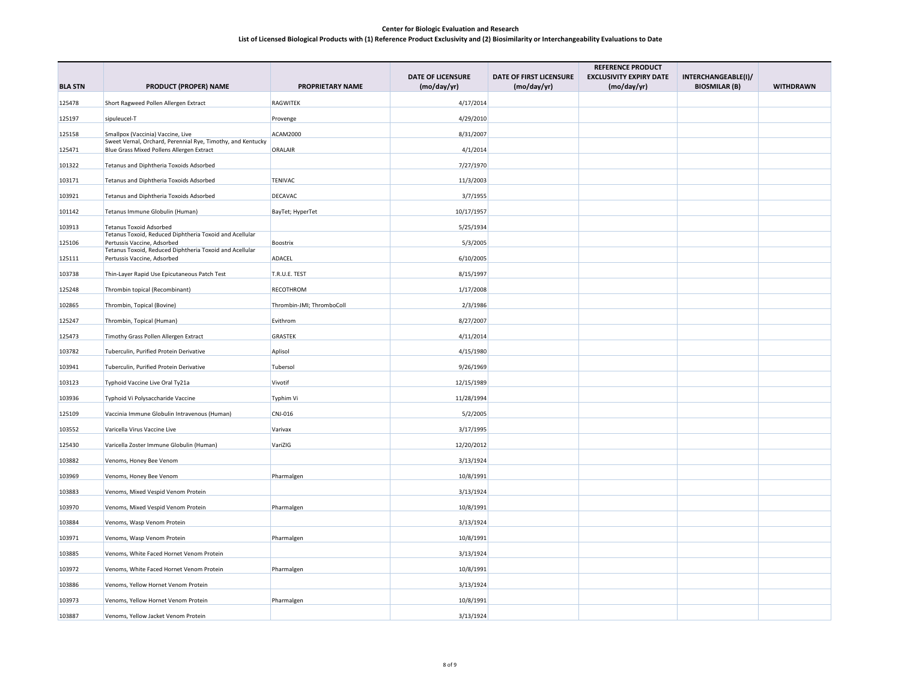|                |                                                                                                          |                           |                                         |                                        | <b>REFERENCE PRODUCT</b>                      |                                             |                  |
|----------------|----------------------------------------------------------------------------------------------------------|---------------------------|-----------------------------------------|----------------------------------------|-----------------------------------------------|---------------------------------------------|------------------|
| <b>BLA STN</b> | <b>PRODUCT (PROPER) NAME</b>                                                                             | <b>PROPRIETARY NAME</b>   | <b>DATE OF LICENSURE</b><br>(mo/day/yr) | DATE OF FIRST LICENSURE<br>(mo/day/yr) | <b>EXCLUSIVITY EXPIRY DATE</b><br>(mo/day/yr) | INTERCHANGEABLE(I)/<br><b>BIOSMILAR (B)</b> | <b>WITHDRAWN</b> |
| 125478         | Short Ragweed Pollen Allergen Extract                                                                    | RAGWITEK                  | 4/17/2014                               |                                        |                                               |                                             |                  |
| 125197         | sipuleucel-T                                                                                             | Provenge                  | 4/29/2010                               |                                        |                                               |                                             |                  |
| 125158         | Smallpox (Vaccinia) Vaccine, Live                                                                        | <b>ACAM2000</b>           | 8/31/2007                               |                                        |                                               |                                             |                  |
| 125471         | Sweet Vernal, Orchard, Perennial Rye, Timothy, and Kentucky<br>Blue Grass Mixed Pollens Allergen Extract | <b>ORALAIR</b>            | 4/1/2014                                |                                        |                                               |                                             |                  |
| 101322         | Tetanus and Diphtheria Toxoids Adsorbed                                                                  |                           | 7/27/1970                               |                                        |                                               |                                             |                  |
|                |                                                                                                          |                           |                                         |                                        |                                               |                                             |                  |
| 103171         | Tetanus and Diphtheria Toxoids Adsorbed                                                                  | <b>TENIVAC</b>            | 11/3/2003                               |                                        |                                               |                                             |                  |
| 103921         | Tetanus and Diphtheria Toxoids Adsorbed                                                                  | DECAVAC                   | 3/7/1955                                |                                        |                                               |                                             |                  |
| 101142         | Tetanus Immune Globulin (Human)                                                                          | BayTet; HyperTet          | 10/17/1957                              |                                        |                                               |                                             |                  |
| 103913         | <b>Tetanus Toxoid Adsorbed</b><br>Tetanus Toxoid, Reduced Diphtheria Toxoid and Acellular                |                           | 5/25/1934                               |                                        |                                               |                                             |                  |
| 125106         | Pertussis Vaccine, Adsorbed<br>Tetanus Toxoid, Reduced Diphtheria Toxoid and Acellular                   | Boostrix                  | 5/3/2005                                |                                        |                                               |                                             |                  |
| 125111         | Pertussis Vaccine, Adsorbed                                                                              | ADACEL                    | 6/10/2005                               |                                        |                                               |                                             |                  |
| 103738         | Thin-Layer Rapid Use Epicutaneous Patch Test                                                             | T.R.U.E. TEST             | 8/15/1997                               |                                        |                                               |                                             |                  |
| 125248         | Thrombin topical (Recombinant)                                                                           | RECOTHROM                 | 1/17/2008                               |                                        |                                               |                                             |                  |
| 102865         | Thrombin, Topical (Bovine)                                                                               | Thrombin-JMI; ThromboColl | 2/3/1986                                |                                        |                                               |                                             |                  |
| 125247         | Thrombin, Topical (Human)                                                                                | Evithrom                  | 8/27/2007                               |                                        |                                               |                                             |                  |
| 125473         | Timothy Grass Pollen Allergen Extract                                                                    | <b>GRASTEK</b>            | 4/11/2014                               |                                        |                                               |                                             |                  |
| 103782         | Tuberculin, Purified Protein Derivative                                                                  | Aplisol                   | 4/15/1980                               |                                        |                                               |                                             |                  |
| 103941         | Tuberculin, Purified Protein Derivative                                                                  | Tubersol                  | 9/26/1969                               |                                        |                                               |                                             |                  |
| 103123         | Typhoid Vaccine Live Oral Ty21a                                                                          | Vivotif                   | 12/15/1989                              |                                        |                                               |                                             |                  |
| 103936         | Typhoid Vi Polysaccharide Vaccine                                                                        | Typhim Vi                 | 11/28/1994                              |                                        |                                               |                                             |                  |
| 125109         | Vaccinia Immune Globulin Intravenous (Human)                                                             | CNJ-016                   | 5/2/2005                                |                                        |                                               |                                             |                  |
| 103552         | Varicella Virus Vaccine Live                                                                             | Varivax                   | 3/17/1995                               |                                        |                                               |                                             |                  |
| 125430         | Varicella Zoster Immune Globulin (Human)                                                                 | VariZIG                   | 12/20/2012                              |                                        |                                               |                                             |                  |
| 103882         | Venoms, Honey Bee Venom                                                                                  |                           | 3/13/1924                               |                                        |                                               |                                             |                  |
| 103969         | Venoms, Honey Bee Venom                                                                                  | Pharmalgen                | 10/8/1991                               |                                        |                                               |                                             |                  |
|                |                                                                                                          |                           |                                         |                                        |                                               |                                             |                  |
| 103883         | Venoms, Mixed Vespid Venom Protein                                                                       |                           | 3/13/1924                               |                                        |                                               |                                             |                  |
| 103970         | Venoms, Mixed Vespid Venom Protein                                                                       | Pharmalgen                | 10/8/1991                               |                                        |                                               |                                             |                  |
| 103884         | Venoms, Wasp Venom Protein                                                                               |                           | 3/13/1924                               |                                        |                                               |                                             |                  |
| 103971         | Venoms, Wasp Venom Protein                                                                               | Pharmalgen                | 10/8/1991                               |                                        |                                               |                                             |                  |
| 103885         | Venoms, White Faced Hornet Venom Protein                                                                 |                           | 3/13/1924                               |                                        |                                               |                                             |                  |
| 103972         | Venoms, White Faced Hornet Venom Protein                                                                 | Pharmalgen                | 10/8/1991                               |                                        |                                               |                                             |                  |
| 103886         | Venoms, Yellow Hornet Venom Protein                                                                      |                           | 3/13/1924                               |                                        |                                               |                                             |                  |
| 103973         | Venoms, Yellow Hornet Venom Protein                                                                      | Pharmalgen                | 10/8/1991                               |                                        |                                               |                                             |                  |
| 103887         | Venoms, Yellow Jacket Venom Protein                                                                      |                           | 3/13/1924                               |                                        |                                               |                                             |                  |